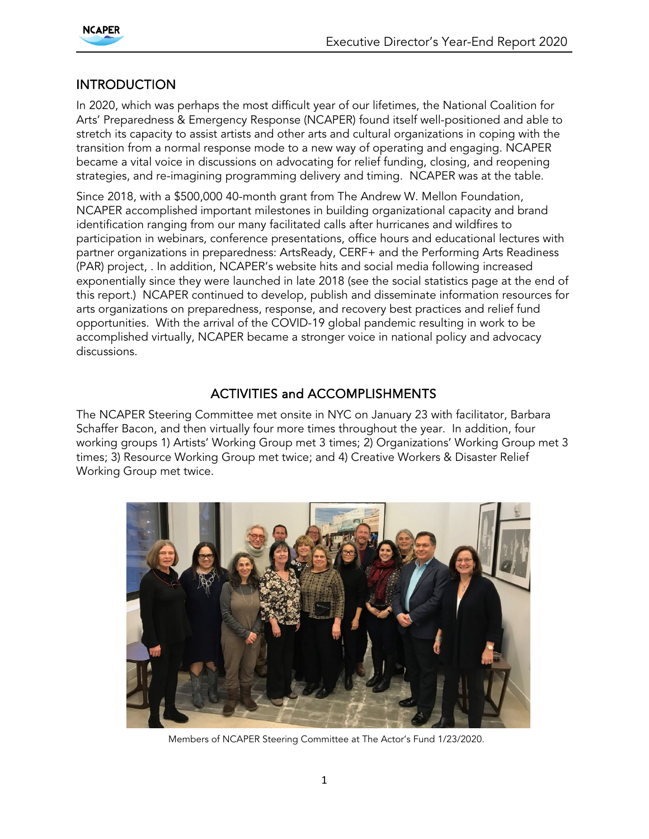

## **INTRODUCTION**

In 2020, which was perhaps the most difficult year of our lifetimes, the National Coalition for Arts' Preparedness & Emergency Response (NCAPER) found itself well-positioned and able to stretch its capacity to assist artists and other arts and cultural organizations in coping with the transition from a normal response mode to a new way of operating and engaging. NCAPER became a vital voice in discussions on advocating for relief funding, closing, and reopening strategies, and re-imagining programming delivery and timing. NCAPER was at the table.

Since 2018, with a \$500,000 40-month grant from The Andrew W. Mellon Foundation, NCAPER accomplished important milestones in building organizational capacity and brand identification ranging from our many facilitated calls after hurricanes and wildfires to participation in webinars, conference presentations, office hours and educational lectures with partner organizations in preparedness: ArtsReady, CERF+ and the Performing Arts Readiness (PAR) project, . In addition, NCAPER's website hits and social media following increased exponentially since they were launched in late 2018 (see the social statistics page at the end of this report.) NCAPER continued to develop, publish and disseminate information resources for arts organizations on preparedness, response, and recovery best practices and relief fund opportunities. With the arrival of the COVID-19 global pandemic resulting in work to be accomplished virtually, NCAPER became a stronger voice in national policy and advocacy discussions.

# ACTIVITIES and ACCOMPLISHMENTS

The NCAPER Steering Committee met onsite in NYC on January 23 with facilitator, Barbara Schaffer Bacon, and then virtually four more times throughout the year. In addition, four working groups 1) Artists' Working Group met 3 times; 2) Organizations' Working Group met 3 times; 3) Resource Working Group met twice; and 4) Creative Workers & Disaster Relief Working Group met twice.



Members of NCAPER Steering Committee at The Actor's Fund 1/23/2020.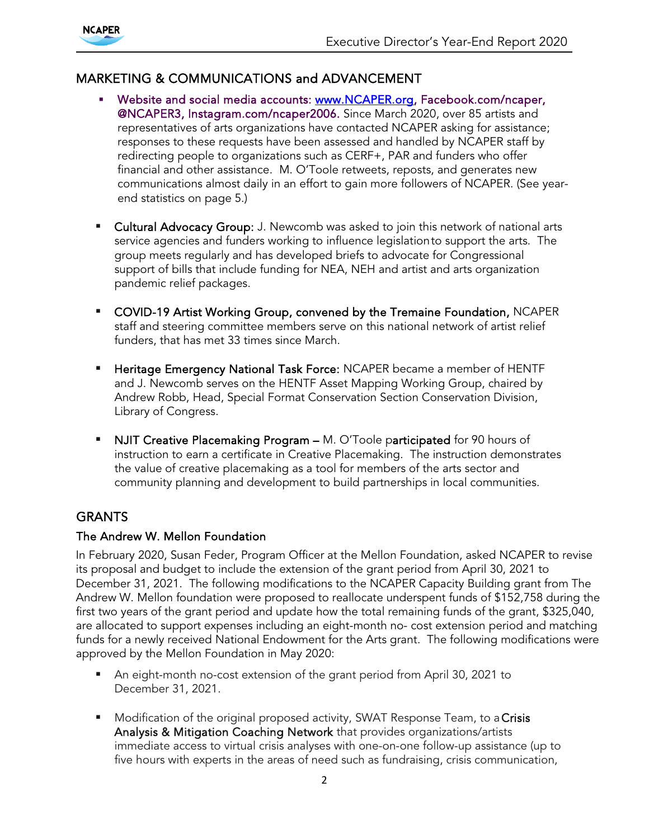

## MARKETING & COMMUNICATIONS and ADVANCEMENT

- **Website and social media accounts: [www.NCAPER.org,](http://www.ncaper.org/) Facebook.com/ncaper,** @NCAPER3, Instagram.com/ncaper2006. Since March 2020, over 85 artists and representatives of arts organizations have contacted NCAPER asking for assistance; responses to these requests have been assessed and handled by NCAPER staff by redirecting people to organizations such as CERF+, PAR and funders who offer financial and other assistance. M. O'Toole retweets, reposts, and generates new communications almost daily in an effort to gain more followers of NCAPER. (See yearend statistics on page 5.)
- Cultural Advocacy Group: J. Newcomb was asked to join this network of national arts service agencies and funders working to influence legislationto support the arts. The group meets regularly and has developed briefs to advocate for Congressional support of bills that include funding for NEA, NEH and artist and arts organization pandemic relief packages.
- COVID-19 Artist Working Group, convened by the Tremaine Foundation, NCAPER staff and steering committee members serve on this national network of artist relief funders, that has met 33 times since March.
- **Heritage Emergency National Task Force: NCAPER became a member of HENTF** and J. Newcomb serves on the HENTF Asset Mapping Working Group, chaired by Andrew Robb, Head, Special Format Conservation Section Conservation Division, Library of Congress.
- NJIT Creative Placemaking Program M. O'Toole participated for 90 hours of instruction to earn a certificate in Creative Placemaking. The instruction demonstrates the value of creative placemaking as a tool for members of the arts sector and community planning and development to build partnerships in local communities.

## **GRANTS**

#### The Andrew W. Mellon Foundation

In February 2020, Susan Feder, Program Officer at the Mellon Foundation, asked NCAPER to revise its proposal and budget to include the extension of the grant period from April 30, 2021 to December 31, 2021. The following modifications to the NCAPER Capacity Building grant from The Andrew W. Mellon foundation were proposed to reallocate underspent funds of \$152,758 during the first two years of the grant period and update how the total remaining funds of the grant, \$325,040, are allocated to support expenses including an eight-month no- cost extension period and matching funds for a newly received National Endowment for the Arts grant. The following modifications were approved by the Mellon Foundation in May 2020:

- An eight-month no-cost extension of the grant period from April 30, 2021 to December 31, 2021.
- Modification of the original proposed activity, SWAT Response Team, to a Crisis Analysis & Mitigation Coaching Network that provides organizations/artists immediate access to virtual crisis analyses with one-on-one follow-up assistance (up to five hours with experts in the areas of need such as fundraising, crisis communication,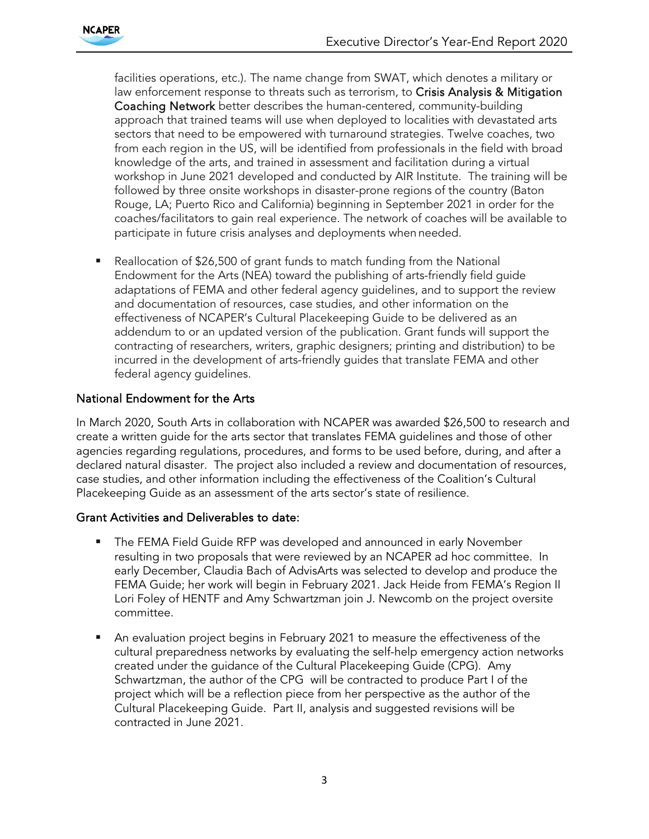

facilities operations, etc.). The name change from SWAT, which denotes a military or law enforcement response to threats such as terrorism, to Crisis Analysis & Mitigation Coaching Network better describes the human-centered, community-building approach that trained teams will use when deployed to localities with devastated arts sectors that need to be empowered with turnaround strategies. Twelve coaches, two from each region in the US, will be identified from professionals in the field with broad knowledge of the arts, and trained in assessment and facilitation during a virtual workshop in June 2021 developed and conducted by AIR Institute. The training will be followed by three onsite workshops in disaster-prone regions of the country (Baton Rouge, LA; Puerto Rico and California) beginning in September 2021 in order for the coaches/facilitators to gain real experience. The network of coaches will be available to participate in future crisis analyses and deployments when needed.

 Reallocation of \$26,500 of grant funds to match funding from the National Endowment for the Arts (NEA) toward the publishing of arts-friendly field guide adaptations of FEMA and other federal agency guidelines, and to support the review and documentation of resources, case studies, and other information on the effectiveness of NCAPER's Cultural Placekeeping Guide to be delivered as an addendum to or an updated version of the publication. Grant funds will support the contracting of researchers, writers, graphic designers; printing and distribution) to be incurred in the development of arts-friendly guides that translate FEMA and other federal agency guidelines.

#### National Endowment for the Arts

In March 2020, South Arts in collaboration with NCAPER was awarded \$26,500 to research and create a written guide for the arts sector that translates FEMA guidelines and those of other agencies regarding regulations, procedures, and forms to be used before, during, and after a declared natural disaster. The project also included a review and documentation of resources, case studies, and other information including the effectiveness of the Coalition's Cultural Placekeeping Guide as an assessment of the arts sector's state of resilience.

#### Grant Activities and Deliverables to date:

- The FEMA Field Guide RFP was developed and announced in early November resulting in two proposals that were reviewed by an NCAPER ad hoc committee. In early December, Claudia Bach of AdvisArts was selected to develop and produce the FEMA Guide; her work will begin in February 2021. Jack Heide from FEMA's Region II Lori Foley of HENTF and Amy Schwartzman join J. Newcomb on the project oversite committee.
- An evaluation project begins in February 2021 to measure the effectiveness of the cultural preparedness networks by evaluating the self-help emergency action networks created under the guidance of the Cultural Placekeeping Guide (CPG). Amy Schwartzman, the author of the CPG will be contracted to produce Part I of the project which will be a reflection piece from her perspective as the author of the Cultural Placekeeping Guide. Part II, analysis and suggested revisions will be contracted in June 2021.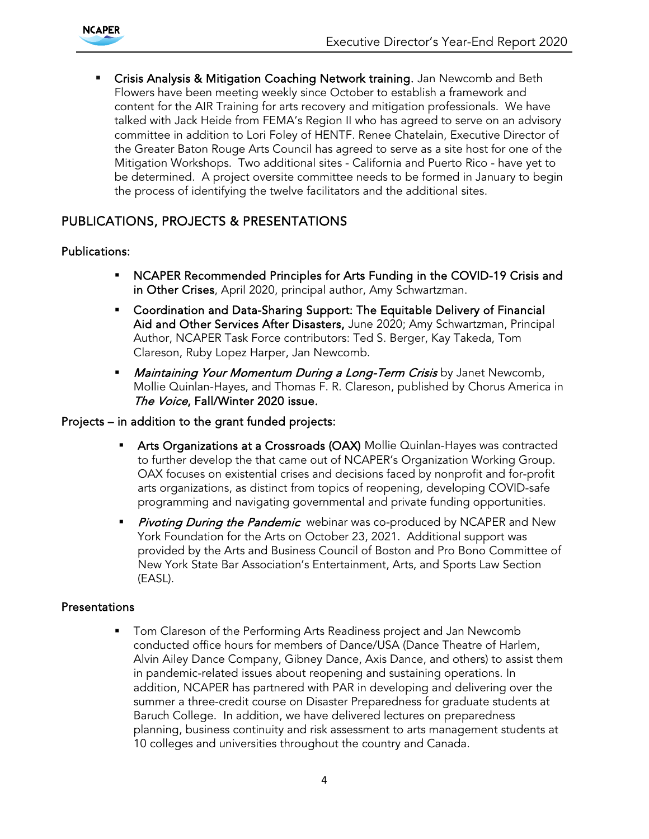

 Crisis Analysis & Mitigation Coaching Network training. Jan Newcomb and Beth Flowers have been meeting weekly since October to establish a framework and content for the AIR Training for arts recovery and mitigation professionals. We have talked with Jack Heide from FEMA's Region II who has agreed to serve on an advisory committee in addition to Lori Foley of HENTF. Renee Chatelain, Executive Director of the Greater Baton Rouge Arts Council has agreed to serve as a site host for one of the Mitigation Workshops. Two additional sites - California and Puerto Rico - have yet to be determined. A project oversite committee needs to be formed in January to begin the process of identifying the twelve facilitators and the additional sites.

# PUBLICATIONS, PROJECTS & PRESENTATIONS

#### Publications:

- NCAPER Recommended Principles for Arts Funding in the COVID-19 Crisis and in Other Crises, April 2020, principal author, Amy Schwartzman.
- Coordination and Data-Sharing Support: The Equitable Delivery of Financial Aid and Other Services After Disasters, June 2020; Amy Schwartzman, Principal Author, NCAPER Task Force contributors: Ted S. Berger, Kay Takeda, Tom Clareson, Ruby Lopez Harper, Jan Newcomb.
- **Maintaining Your Momentum During a Long-Term Crisis by Janet Newcomb,** Mollie Quinlan-Hayes, and Thomas F. R. Clareson, published by Chorus America in The Voice, Fall/Winter 2020 issue.

#### Projects – in addition to the grant funded projects:

- Arts Organizations at a Crossroads (OAX) Mollie Quinlan-Hayes was contracted to further develop the that came out of NCAPER's Organization Working Group. OAX focuses on existential crises and decisions faced by nonprofit and for-profit arts organizations, as distinct from topics of reopening, developing COVID-safe programming and navigating governmental and private funding opportunities.
- **Pivoting During the Pandemic** webinar was co-produced by NCAPER and New York Foundation for the Arts on October 23, 2021. Additional support was provided by the Arts and Business Council of Boston and Pro Bono Committee of New York State Bar Association's Entertainment, Arts, and Sports Law Section (EASL).

#### **Presentations**

 Tom Clareson of the Performing Arts Readiness project and Jan Newcomb conducted office hours for members of Dance/USA (Dance Theatre of Harlem, Alvin Ailey Dance Company, Gibney Dance, Axis Dance, and others) to assist them in pandemic-related issues about reopening and sustaining operations. In addition, NCAPER has partnered with PAR in developing and delivering over the summer a three-credit course on Disaster Preparedness for graduate students at Baruch College. In addition, we have delivered lectures on preparedness planning, business continuity and risk assessment to arts management students at 10 colleges and universities throughout the country and Canada.